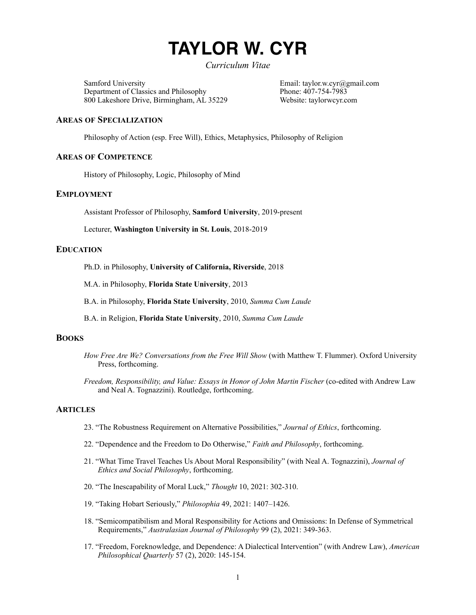# **TAYLOR W. CYR**

*Curriculum Vitae* 

Samford University<br>
Department of Classics and Philosophy<br>
Phone: 407-754-7983 Department of Classics and Philosophy 800 Lakeshore Drive, Birmingham, AL 35229 Website: taylorwcyr.com

# **AREAS OF SPECIALIZATION**

Philosophy of Action (esp. Free Will), Ethics, Metaphysics, Philosophy of Religion

## **AREAS OF COMPETENCE**

History of Philosophy, Logic, Philosophy of Mind

# **EMPLOYMENT**

Assistant Professor of Philosophy, **Samford University**, 2019-present

Lecturer, **Washington University in St. Louis**, 2018-2019

# **EDUCATION**

Ph.D. in Philosophy, **University of California, Riverside**, 2018

M.A. in Philosophy, **Florida State University**, 2013

B.A. in Philosophy, **Florida State University**, 2010, *Summa Cum Laude*

B.A. in Religion, **Florida State University**, 2010, *Summa Cum Laude*

# **BOOKS**

- *How Free Are We? Conversations from the Free Will Show (with Matthew T. Flummer). Oxford University* Press, forthcoming.
- *Freedom, Responsibility, and Value: Essays in Honor of John Martin Fischer* (co-edited with Andrew Law and Neal A. Tognazzini). Routledge, forthcoming.

## **ARTICLES**

- 23. "The Robustness Requirement on Alternative Possibilities," *Journal of Ethics*, forthcoming.
- 22. "Dependence and the Freedom to Do Otherwise," *Faith and Philosophy*, forthcoming.
- 21. "What Time Travel Teaches Us About Moral Responsibility" (with Neal A. Tognazzini), *Journal of Ethics and Social Philosophy*, forthcoming.
- 20. "The Inescapability of Moral Luck," *Thought* 10, 2021: 302-310.
- 19. "Taking Hobart Seriously," *Philosophia* 49, 2021: 1407–1426.
- 18. "Semicompatibilism and Moral Responsibility for Actions and Omissions: In Defense of Symmetrical Requirements," *Australasian Journal of Philosophy* 99 (2), 2021: 349-363.
- 17. "Freedom, Foreknowledge, and Dependence: A Dialectical Intervention" (with Andrew Law), *American Philosophical Quarterly* 57 (2), 2020: 145-154.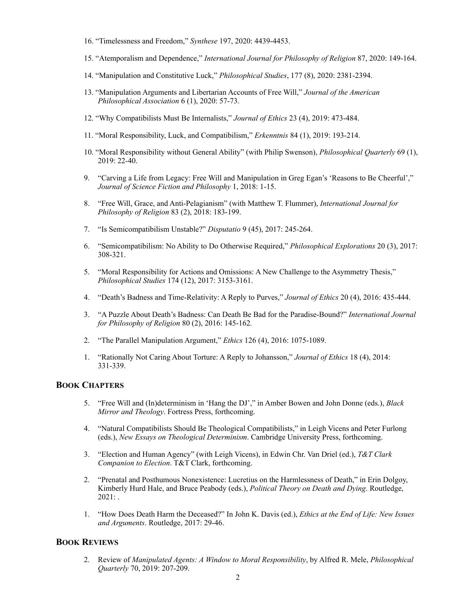- 16. "Timelessness and Freedom," *Synthese* 197, 2020: 4439-4453.
- 15. "Atemporalism and Dependence," *International Journal for Philosophy of Religion* 87, 2020: 149-164.
- 14. "Manipulation and Constitutive Luck," *Philosophical Studies*, 177 (8), 2020: 2381-2394.
- 13. "Manipulation Arguments and Libertarian Accounts of Free Will," *Journal of the American Philosophical Association* 6 (1), 2020: 57-73.
- 12. "Why Compatibilists Must Be Internalists," *Journal of Ethics* 23 (4), 2019: 473-484.
- 11. "Moral Responsibility, Luck, and Compatibilism," *Erkenntnis* 84 (1), 2019: 193-214.
- 10. "Moral Responsibility without General Ability" (with Philip Swenson), *Philosophical Quarterly* 69 (1), 2019: 22-40.
- 9. "Carving a Life from Legacy: Free Will and Manipulation in Greg Egan's 'Reasons to Be Cheerful'," *Journal of Science Fiction and Philosophy* 1, 2018: 1-15.
- 8. "Free Will, Grace, and Anti-Pelagianism" (with Matthew T. Flummer), *International Journal for Philosophy of Religion* 83 (2), 2018: 183-199.
- 7. "Is Semicompatibilism Unstable?" *Disputatio* 9 (45), 2017: 245-264.
- 6. "Semicompatibilism: No Ability to Do Otherwise Required," *Philosophical Explorations* 20 (3), 2017: 308-321.
- 5. "Moral Responsibility for Actions and Omissions: A New Challenge to the Asymmetry Thesis," *Philosophical Studies* 174 (12), 2017: 3153-3161.
- 4. "Death's Badness and Time-Relativity: A Reply to Purves," *Journal of Ethics* 20 (4), 2016: 435-444.
- 3."A Puzzle About Death's Badness: Can Death Be Bad for the Paradise-Bound?" *International Journal for Philosophy of Religion* 80 (2), 2016: 145-162*.*
- 2. "The Parallel Manipulation Argument," *Ethics* 126 (4), 2016: 1075-1089.
- 1. "Rationally Not Caring About Torture: A Reply to Johansson," *Journal of Ethics* 18 (4), 2014: 331-339.

# **BOOK CHAPTERS**

- 5. "Free Will and (In)determinism in 'Hang the DJ'," in Amber Bowen and John Donne (eds.), *Black Mirror and Theology*. Fortress Press, forthcoming.
- 4. "Natural Compatibilists Should Be Theological Compatibilists," in Leigh Vicens and Peter Furlong (eds.), *New Essays on Theological Determinism*. Cambridge University Press, forthcoming.
- 3. "Election and Human Agency" (with Leigh Vicens), in Edwin Chr. Van Driel (ed.), *T&T Clark Companion to Election*. T&T Clark, forthcoming.
- 2. "Prenatal and Posthumous Nonexistence: Lucretius on the Harmlessness of Death," in Erin Dolgoy, Kimberly Hurd Hale, and Bruce Peabody (eds.), *Political Theory on Death and Dying*. Routledge,  $2021:$ .
- 1. "How Does Death Harm the Deceased?" In John K. Davis (ed.), *Ethics at the End of Life: New Issues and Arguments*. Routledge, 2017: 29-46.

# **BOOK REVIEWS**

2. Review of *Manipulated Agents: A Window to Moral Responsibility*, by Alfred R. Mele, *Philosophical Quarterly* 70, 2019: 207-209.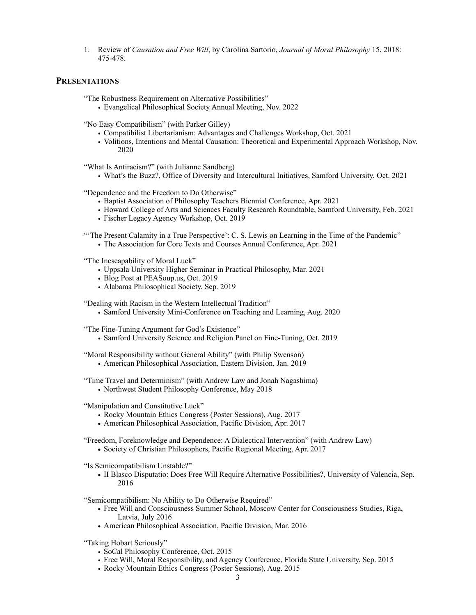1. Review of *Causation and Free Will*, by Carolina Sartorio, *Journal of Moral Philosophy* 15, 2018: 475-478.

# **PRESENTATIONS**

"The Robustness Requirement on Alternative Possibilities"

• Evangelical Philosophical Society Annual Meeting, Nov. 2022

"No Easy Compatibilism" (with Parker Gilley)

- Compatibilist Libertarianism: Advantages and Challenges Workshop, Oct. 2021
- Volitions, Intentions and Mental Causation: Theoretical and Experimental Approach Workshop, Nov. 2020

"What Is Antiracism?" (with Julianne Sandberg)

• What's the Buzz?, Office of Diversity and Intercultural Initiatives, Samford University, Oct. 2021

"Dependence and the Freedom to Do Otherwise"

- Baptist Association of Philosophy Teachers Biennial Conference, Apr. 2021
- Howard College of Arts and Sciences Faculty Research Roundtable, Samford University, Feb. 2021
- Fischer Legacy Agency Workshop, Oct. 2019

"'The Present Calamity in a True Perspective': C. S. Lewis on Learning in the Time of the Pandemic"

• The Association for Core Texts and Courses Annual Conference, Apr. 2021

"The Inescapability of Moral Luck"

- Uppsala University Higher Seminar in Practical Philosophy, Mar. 2021
- Blog Post at PEASoup.us, Oct. 2019
- Alabama Philosophical Society, Sep. 2019

"Dealing with Racism in the Western Intellectual Tradition"

• Samford University Mini-Conference on Teaching and Learning, Aug. 2020

"The Fine-Tuning Argument for God's Existence"

• Samford University Science and Religion Panel on Fine-Tuning, Oct. 2019

"Moral Responsibility without General Ability" (with Philip Swenson)

• American Philosophical Association, Eastern Division, Jan. 2019

"Time Travel and Determinism" (with Andrew Law and Jonah Nagashima)

• Northwest Student Philosophy Conference, May 2018

"Manipulation and Constitutive Luck"

- Rocky Mountain Ethics Congress (Poster Sessions), Aug. 2017
- **•** American Philosophical Association, Pacific Division, Apr. 2017

"Freedom, Foreknowledge and Dependence: A Dialectical Intervention" (with Andrew Law)

**•** Society of Christian Philosophers, Pacific Regional Meeting, Apr. 2017

"Is Semicompatibilism Unstable?"

**•** II Blasco Disputatio: Does Free Will Require Alternative Possibilities?, University of Valencia, Sep. 2016

"Semicompatibilism: No Ability to Do Otherwise Required"

- **•** Free Will and Consciousness Summer School, Moscow Center for Consciousness Studies, Riga, Latvia, July 2016
- **•** American Philosophical Association, Pacific Division, Mar. 2016
- "Taking Hobart Seriously"
	- SoCal Philosophy Conference, Oct. 2015
	- Free Will, Moral Responsibility, and Agency Conference, Florida State University, Sep. 2015
	- Rocky Mountain Ethics Congress (Poster Sessions), Aug. 2015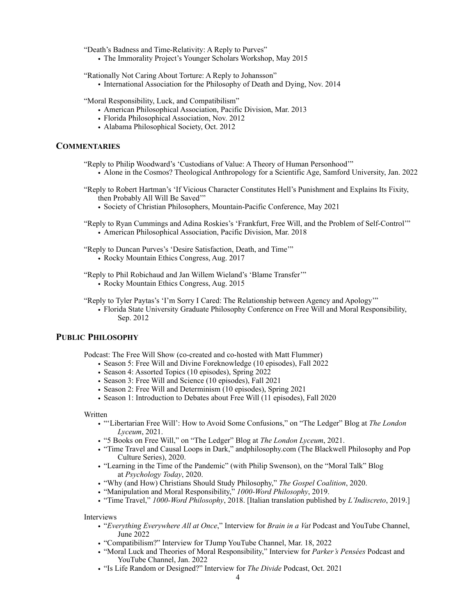"Death's Badness and Time-Relativity: A Reply to Purves"

- The Immorality Project's Younger Scholars Workshop, May 2015
- "Rationally Not Caring About Torture: A Reply to Johansson" • International Association for the Philosophy of Death and Dying, Nov. 2014

"Moral Responsibility, Luck, and Compatibilism"

- American Philosophical Association, Pacific Division, Mar. 2013
- Florida Philosophical Association, Nov. 2012
- Alabama Philosophical Society, Oct. 2012

# **COMMENTARIES**

"Reply to Philip Woodward's 'Custodians of Value: A Theory of Human Personhood'"

• Alone in the Cosmos? Theological Anthropology for a Scientific Age, Samford University, Jan. 2022

- "Reply to Robert Hartman's 'If Vicious Character Constitutes Hell's Punishment and Explains Its Fixity, then Probably All Will Be Saved'"
	- Society of Christian Philosophers, Mountain-Pacific Conference, May 2021
- "Reply to Ryan Cummings and Adina Roskies's 'Frankfurt, Free Will, and the Problem of Self-Control'" • American Philosophical Association, Pacific Division, Mar. 2018
- "Reply to Duncan Purves's 'Desire Satisfaction, Death, and Time'"
	- Rocky Mountain Ethics Congress, Aug. 2017

"Reply to Phil Robichaud and Jan Willem Wieland's 'Blame Transfer'"

- Rocky Mountain Ethics Congress, Aug. 2015
- "Reply to Tyler Paytas's 'I'm Sorry I Cared: The Relationship between Agency and Apology'"
	- Florida State University Graduate Philosophy Conference on Free Will and Moral Responsibility, Sep. 2012

# **PUBLIC PHILOSOPHY**

Podcast: The Free Will Show (co-created and co-hosted with Matt Flummer)

- Season 5: Free Will and Divine Foreknowledge (10 episodes), Fall 2022
- Season 4: Assorted Topics (10 episodes), Spring 2022
- Season 3: Free Will and Science (10 episodes), Fall 2021
- Season 2: Free Will and Determinism (10 episodes), Spring 2021
- Season 1: Introduction to Debates about Free Will (11 episodes), Fall 2020

#### Written

- "'Libertarian Free Will': How to Avoid Some Confusions," on "The Ledger" Blog at *The London Lyceum*, 2021.
- "5 Books on Free Will," on "The Ledger" Blog at *The London Lyceum*, 2021.
- "Time Travel and Causal Loops in Dark," andphilosophy.com (The Blackwell Philosophy and Pop Culture Series), 2020.
- "Learning in the Time of the Pandemic" (with Philip Swenson), on the "Moral Talk" Blog at *Psychology Today*, 2020.
- "Why (and How) Christians Should Study Philosophy," *The Gospel Coalition*, 2020.
- "Manipulation and Moral Responsibility," *1000-Word Philosophy*, 2019.
- "Time Travel," *1000-Word Philosophy*, 2018. [Italian translation published by *L'Indiscreto*, 2019.]

Interviews

- "*Everything Everywhere All at Once*," Interview for *Brain in a Vat* Podcast and YouTube Channel, June 2022
- "Compatibilism?" Interview for TJump YouTube Channel, Mar. 18, 2022
- "Moral Luck and Theories of Moral Responsibility," Interview for *Parker's Pensées* Podcast and YouTube Channel, Jan. 2022
- "Is Life Random or Designed?" Interview for *The Divide* Podcast, Oct. 2021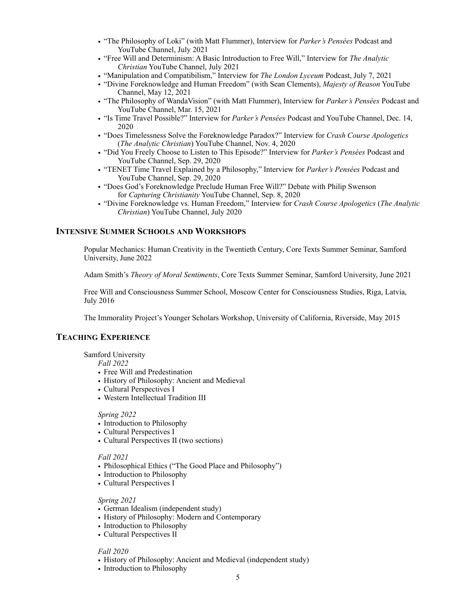- "The Philosophy of Loki" (with Matt Flummer), Interview for *Parker's Pensées* Podcast and YouTube Channel, July 2021
- "Free Will and Determinism: A Basic Introduction to Free Will," Interview for *The Analytic Christian* YouTube Channel, July 2021
- "Manipulation and Compatibilism," Interview for *The London Lyceum* Podcast, July 7, 2021
- "Divine Foreknowledge and Human Freedom" (with Sean Clements), *Majesty of Reason* YouTube Channel, May 12, 2021
- "The Philosophy of WandaVision" (with Matt Flummer), Interview for *Parker's Pensées* Podcast and YouTube Channel, Mar. 15, 2021
- "Is Time Travel Possible?" Interview for *Parker's Pensées* Podcast and YouTube Channel, Dec. 14, 2020
- "Does Timelessness Solve the Foreknowledge Paradox?" Interview for *Crash Course Apologetics*  (*The Analytic Christian*) YouTube Channel, Nov. 4, 2020
- "Did You Freely Choose to Listen to This Episode?" Interview for *Parker's Pensées* Podcast and YouTube Channel, Sep. 29, 2020
- "TENET Time Travel Explained by a Philosophy," Interview for *Parker's Pensées* Podcast and YouTube Channel, Sep. 29, 2020
- "Does God's Foreknowledge Preclude Human Free Will?" Debate with Philip Swenson for *Capturing Christianity* YouTube Channel, Sep. 8, 2020
- "Divine Foreknowledge vs. Human Freedom," Interview for *Crash Course Apologetics* (*The Analytic Christian*) YouTube Channel, July 2020

# **INTENSIVE SUMMER SCHOOLS AND WORKSHOPS**

 Popular Mechanics: Human Creativity in the Twentieth Century, Core Texts Summer Seminar, Samford University, June 2022

Adam Smith's *Theory of Moral Sentiments*, Core Texts Summer Seminar, Samford University, June 2021

 Free Will and Consciousness Summer School, Moscow Center for Consciousness Studies, Riga, Latvia, July 2016

The Immorality Project's Younger Scholars Workshop, University of California, Riverside, May 2015

# **TEACHING EXPERIENCE**

### Samford University

*Fall 2022* 

- Free Will and Predestination
- History of Philosophy: Ancient and Medieval
- Cultural Perspectives I
- Western Intellectual Tradition III

## *Spring 2022*

- Introduction to Philosophy
- Cultural Perspectives I
- Cultural Perspectives II (two sections)

## *Fall 2021*

- Philosophical Ethics ("The Good Place and Philosophy")
- Introduction to Philosophy
- Cultural Perspectives I

### *Spring 2021*

- German Idealism (independent study)
- History of Philosophy: Modern and Contemporary
- Introduction to Philosophy
- Cultural Perspectives II

## *Fall 2020*

- History of Philosophy: Ancient and Medieval (independent study)
- Introduction to Philosophy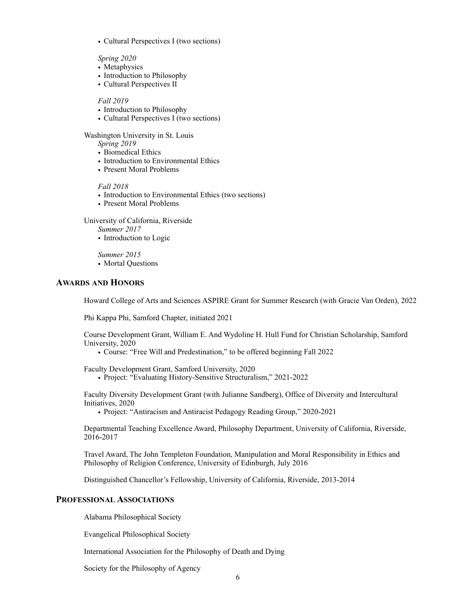• Cultural Perspectives I (two sections)

 *Spring 2020*

- Metaphysics
- Introduction to Philosophy
- Cultural Perspectives II

## *Fall 2019*

- Introduction to Philosophy
- Cultural Perspectives I (two sections)

Washington University in St. Louis

*Spring 2019*

- Biomedical Ethics
- Introduction to Environmental Ethics
- Present Moral Problems

## *Fall 2018*

- Introduction to Environmental Ethics (two sections)
- Present Moral Problems

University of California, Riverside

- *Summer 2017*
- Introduction to Logic

*Summer 2015*

• Mortal Questions

# **AWARDS AND HONORS**

Howard College of Arts and Sciences ASPIRE Grant for Summer Research (with Gracie Van Orden), 2022

Phi Kappa Phi, Samford Chapter, initiated 2021

 Course Development Grant, William E. And Wydoline H. Hull Fund for Christian Scholarship, Samford University, 2020

• Course: "Free Will and Predestination," to be offered beginning Fall 2022

Faculty Development Grant, Samford University, 2020

• Project: "Evaluating History-Sensitive Structuralism," 2021-2022

Faculty Diversity Development Grant (with Julianne Sandberg), Office of Diversity and Intercultural Initiatives, 2020

• Project: "Antiracism and Antiracist Pedagogy Reading Group," 2020-2021

 Departmental Teaching Excellence Award, Philosophy Department, University of California, Riverside, 2016-2017

 Travel Award, The John Templeton Foundation, Manipulation and Moral Responsibility in Ethics and Philosophy of Religion Conference, University of Edinburgh, July 2016

Distinguished Chancellor's Fellowship, University of California, Riverside, 2013-2014

## **PROFESSIONAL ASSOCIATIONS**

Alabama Philosophical Society

Evangelical Philosophical Society

International Association for the Philosophy of Death and Dying

Society for the Philosophy of Agency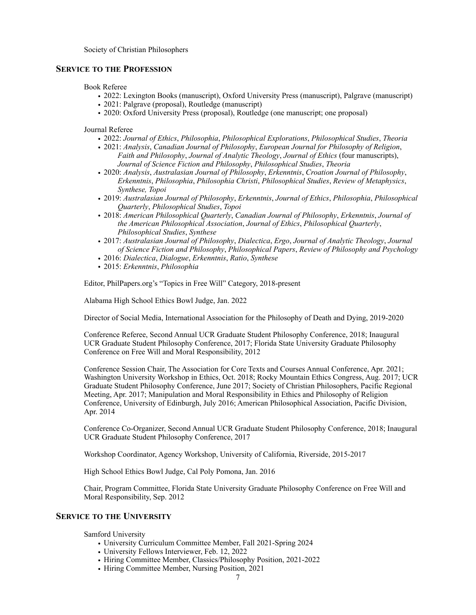Society of Christian Philosophers

## **SERVICE TO THE PROFESSION**

Book Referee

- 2022: Lexington Books (manuscript), Oxford University Press (manuscript), Palgrave (manuscript)
- 2021: Palgrave (proposal), Routledge (manuscript)
- 2020: Oxford University Press (proposal), Routledge (one manuscript; one proposal)

Journal Referee

- 2022: *Journal of Ethics*, *Philosophia*, *Philosophical Explorations*, *Philosophical Studies*, *Theoria*
- 2021: *Analysis*, *Canadian Journal of Philosophy*, *European Journal for Philosophy of Religion*, *Faith and Philosophy*, *Journal of Analytic Theology*, *Journal of Ethics* (four manuscripts), *Journal of Science Fiction and Philosophy*, *Philosophical Studies*, *Theoria*
- 2020: *Analysis*, *Australasian Journal of Philosophy*, *Erkenntnis*, *Croation Journal of Philosophy*, *Erkenntnis*, *Philosophia*, *Philosophia Christi*, *Philosophical Studies*, *Review of Metaphysics*, *Synthese, Topoi*
- 2019: *Australasian Journal of Philosophy*, *Erkenntnis*, *Journal of Ethics*, *Philosophia*, *Philosophical Quarterly*, *Philosophical Studies*, *Topoi*
- 2018: *American Philosophical Quarterly*, *Canadian Journal of Philosophy*, *Erkenntnis*, *Journal of the American Philosophical Association*, *Journal of Ethics*, *Philosophical Quarterly*, *Philosophical Studies*, *Synthese*
- 2017: *Australasian Journal of Philosophy*, *Dialectica*, *Ergo*, *Journal of Analytic Theology*, *Journal of Science Fiction and Philosophy*, *Philosophical Papers*, *Review of Philosophy and Psychology*
- 2016: *Dialectica*, *Dialogue*, *Erkenntnis*, *Ratio*, *Synthese*
- 2015: *Erkenntnis*, *Philosophia*

Editor, PhilPapers.org's "Topics in Free Will" Category, 2018-present

Alabama High School Ethics Bowl Judge, Jan. 2022

Director of Social Media, International Association for the Philosophy of Death and Dying, 2019-2020

 Conference Referee, Second Annual UCR Graduate Student Philosophy Conference, 2018; Inaugural UCR Graduate Student Philosophy Conference, 2017; Florida State University Graduate Philosophy Conference on Free Will and Moral Responsibility, 2012

Conference Session Chair, The Association for Core Texts and Courses Annual Conference, Apr. 2021; Washington University Workshop in Ethics, Oct. 2018; Rocky Mountain Ethics Congress, Aug. 2017; UCR Graduate Student Philosophy Conference, June 2017; Society of Christian Philosophers, Pacific Regional Meeting, Apr. 2017; Manipulation and Moral Responsibility in Ethics and Philosophy of Religion Conference, University of Edinburgh, July 2016; American Philosophical Association, Pacific Division, Apr. 2014

 Conference Co-Organizer, Second Annual UCR Graduate Student Philosophy Conference, 2018; Inaugural UCR Graduate Student Philosophy Conference, 2017

Workshop Coordinator, Agency Workshop, University of California, Riverside, 2015-2017

High School Ethics Bowl Judge, Cal Poly Pomona, Jan. 2016

 Chair, Program Committee, Florida State University Graduate Philosophy Conference on Free Will and Moral Responsibility, Sep. 2012

## **SERVICE TO THE UNIVERSITY**

Samford University

- University Curriculum Committee Member, Fall 2021-Spring 2024
- University Fellows Interviewer, Feb. 12, 2022
- Hiring Committee Member, Classics/Philosophy Position, 2021-2022
- Hiring Committee Member, Nursing Position, 2021